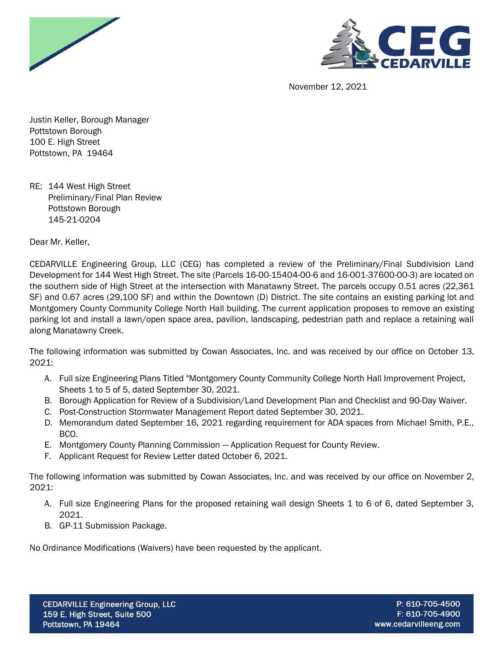



November 12, 2021

Justin Keller, Borough Manager Pottstown Borough 100 E. High Street Pottstown, PA 19464

RE: 144 West High Street Preliminary/Final Plan Review Pottstown Borough 145-21-0204

Dear Mr. Keller,

CEDARVILLE Engineering Group, LLC (CEG) has completed a review of the Preliminary/Final Subdivision Land Development for 144 West High Street. The site (Parcels 16-00-15404-00-6 and 16-001-37600-00-3) are located on the southern side of High Street at the intersection with Manatawny Street. The parcels occupy 0.51 acres (22,361 SF) and 0.67 acres (29,100 SF) and within the Downtown (D) District. The site contains an existing parking lot and Montgomery County Community College North Hall building. The current application proposes to remove an existing parking lot and install a lawn/open space area, pavilion, landscaping, pedestrian path and replace a retaining wall along Manatawny Creek.

The following information was submitted by Cowan Associates, Inc. and was received by our office on October 13, 2021:

- A. Full size Engineering Plans Titled "Montgomery County Community College North Hall Improvement Project, Sheets 1 to 5 of 5, dated September 30, 2021.
- B. Borough Application for Review of a Subdivision/Land Development Plan and Checklist and 90-Day Waiver.
- C. Post-Construction Stormwater Management Report dated September 30, 2021.
- D. Memorandum dated September 16, 2021 regarding requirement for ADA spaces from Michael Smith, P.E., BCO.
- E. Montgomery County Planning Commission Application Request for County Review.
- F. Applicant Request for Review Letter dated October 6, 2021.

The following information was submitted by Cowan Associates, Inc. and was received by our office on November 2, 2021:

- A. Full size Engineering Plans for the proposed retaining wall design Sheets 1 to 6 of 6, dated September 3, 2021.
- B. GP-11 Submission Package.

No Ordinance Modifications (Waivers) have been requested by the applicant.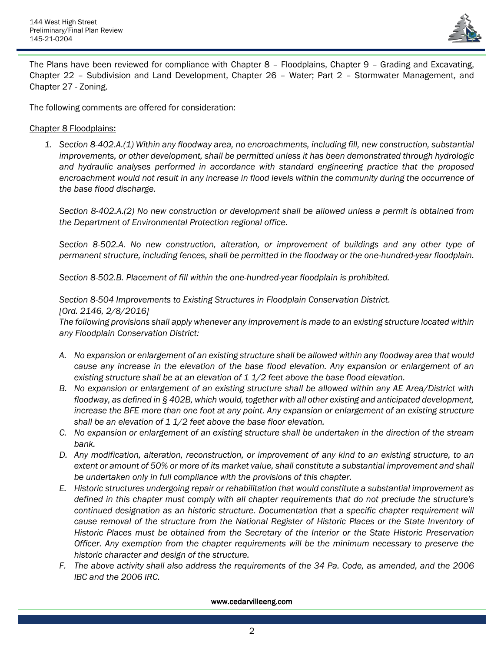

The Plans have been reviewed for compliance with Chapter 8 – Floodplains, Chapter 9 – Grading and Excavating, Chapter 22 – Subdivision and Land Development, Chapter 26 – Water; Part 2 – Stormwater Management, and Chapter 27 - Zoning.

The following comments are offered for consideration:

## Chapter 8 Floodplains:

*1. Section 8-402.A.(1) Within any floodway area, no encroachments, including fill, new construction, substantial improvements, or other development, shall be permitted unless it has been demonstrated through hydrologic and hydraulic analyses performed in accordance with standard engineering practice that the proposed encroachment would not result in any increase in flood levels within the community during the occurrence of the base flood discharge.*

*Section 8-402.A.(2) No new construction or development shall be allowed unless a permit is obtained from the Department of Environmental Protection regional office.*

*Section 8-502.A. No new construction, alteration, or improvement of buildings and any other type of permanent structure, including fences, shall be permitted in the floodway or the one-hundred-year floodplain.*

*Section 8-502.B. Placement of fill within the one-hundred-year floodplain is prohibited.* 

*Section 8-504 Improvements to Existing Structures in Floodplain Conservation District.*

## *[Ord. 2146, 2/8/2016]*

*The following provisions shall apply whenever any improvement is made to an existing structure located within any Floodplain Conservation District:*

- *A. No expansion or enlargement of an existing structure shall be allowed within any floodway area that would cause any increase in the elevation of the base flood elevation. Any expansion or enlargement of an existing structure shall be at an elevation of 1 1/2 feet above the base flood elevation.*
- *B. No expansion or enlargement of an existing structure shall be allowed within any AE Area/District with floodway, as defined in § 402B, which would, together with all other existing and anticipated development,*  increase the BFE more than one foot at any point. Any expansion or enlargement of an existing structure *shall be an elevation of 1 1/2 feet above the base floor elevation.*
- *C. No expansion or enlargement of an existing structure shall be undertaken in the direction of the stream bank.*
- *D. Any modification, alteration, reconstruction, or improvement of any kind to an existing structure, to an extent or amount of 50% or more of its market value, shall constitute a substantial improvement and shall be undertaken only in full compliance with the provisions of this chapter.*
- *E. Historic structures undergoing repair or rehabilitation that would constitute a substantial improvement as defined in this chapter must comply with all chapter requirements that do not preclude the structure's continued designation as an historic structure. Documentation that a specific chapter requirement will cause removal of the structure from the National Register of Historic Places or the State Inventory of Historic Places must be obtained from the Secretary of the Interior or the State Historic Preservation Officer. Any exemption from the chapter requirements will be the minimum necessary to preserve the historic character and design of the structure.*
- *F. The above activity shall also address the requirements of the 34 Pa. Code, as amended, and the 2006 IBC and the 2006 IRC.*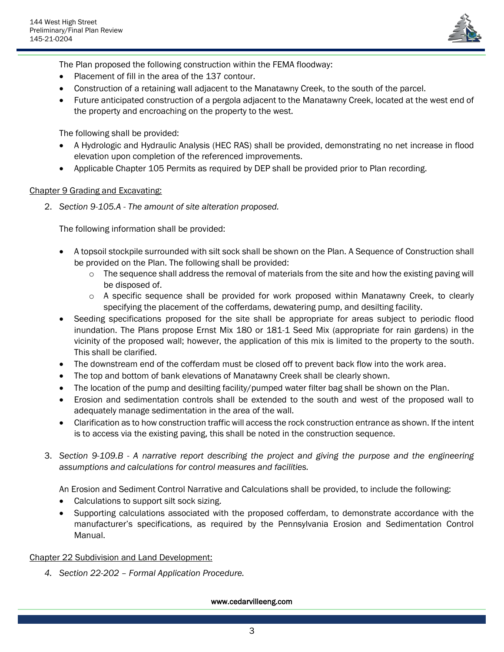

The Plan proposed the following construction within the FEMA floodway:

- Placement of fill in the area of the 137 contour.
- Construction of a retaining wall adjacent to the Manatawny Creek, to the south of the parcel.
- Future anticipated construction of a pergola adjacent to the Manatawny Creek, located at the west end of the property and encroaching on the property to the west.

The following shall be provided:

- A Hydrologic and Hydraulic Analysis (HEC RAS) shall be provided, demonstrating no net increase in flood elevation upon completion of the referenced improvements.
- Applicable Chapter 105 Permits as required by DEP shall be provided prior to Plan recording.

# Chapter 9 Grading and Excavating:

2. *Section 9-105.A - The amount of site alteration proposed.*

The following information shall be provided:

- A topsoil stockpile surrounded with silt sock shall be shown on the Plan. A Sequence of Construction shall be provided on the Plan. The following shall be provided:
	- $\circ$  The sequence shall address the removal of materials from the site and how the existing paving will be disposed of.
	- $\circ$  A specific sequence shall be provided for work proposed within Manatawny Creek, to clearly specifying the placement of the cofferdams, dewatering pump, and desilting facility.
- Seeding specifications proposed for the site shall be appropriate for areas subject to periodic flood inundation. The Plans propose Ernst Mix 180 or 181-1 Seed Mix (appropriate for rain gardens) in the vicinity of the proposed wall; however, the application of this mix is limited to the property to the south. This shall be clarified.
- The downstream end of the cofferdam must be closed off to prevent back flow into the work area.
- The top and bottom of bank elevations of Manatawny Creek shall be clearly shown.
- The location of the pump and desilting facility/pumped water filter bag shall be shown on the Plan.
- Erosion and sedimentation controls shall be extended to the south and west of the proposed wall to adequately manage sedimentation in the area of the wall.
- Clarification as to how construction traffic will access the rock construction entrance as shown. If the intent is to access via the existing paving, this shall be noted in the construction sequence.
- 3. *Section 9-109.B - A narrative report describing the project and giving the purpose and the engineering assumptions and calculations for control measures and facilities.*

An Erosion and Sediment Control Narrative and Calculations shall be provided, to include the following:

- Calculations to support silt sock sizing.
- Supporting calculations associated with the proposed cofferdam, to demonstrate accordance with the manufacturer's specifications, as required by the Pennsylvania Erosion and Sedimentation Control Manual.

## Chapter 22 Subdivision and Land Development:

*4. Section 22-202 – Formal Application Procedure.*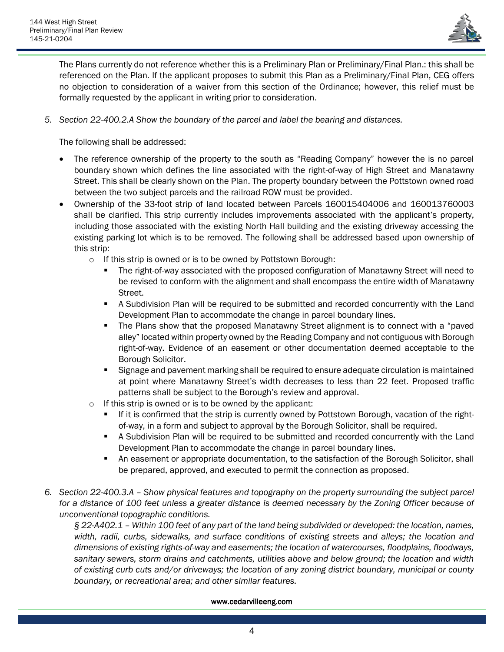

The Plans currently do not reference whether this is a Preliminary Plan or Preliminary/Final Plan.: this shall be referenced on the Plan. If the applicant proposes to submit this Plan as a Preliminary/Final Plan, CEG offers no objection to consideration of a waiver from this section of the Ordinance; however, this relief must be formally requested by the applicant in writing prior to consideration.

*5. Section 22-400.2.A Show the boundary of the parcel and label the bearing and distances.*

The following shall be addressed:

- The reference ownership of the property to the south as "Reading Company" however the is no parcel boundary shown which defines the line associated with the right-of-way of High Street and Manatawny Street. This shall be clearly shown on the Plan. The property boundary between the Pottstown owned road between the two subject parcels and the railroad ROW must be provided.
- Ownership of the 33-foot strip of land located between Parcels 160015404006 and 160013760003 shall be clarified. This strip currently includes improvements associated with the applicant's property, including those associated with the existing North Hall building and the existing driveway accessing the existing parking lot which is to be removed. The following shall be addressed based upon ownership of this strip:
	- o If this strip is owned or is to be owned by Pottstown Borough:
		- The right-of-way associated with the proposed configuration of Manatawny Street will need to be revised to conform with the alignment and shall encompass the entire width of Manatawny Street.
		- **EXECT** A Subdivision Plan will be required to be submitted and recorded concurrently with the Land Development Plan to accommodate the change in parcel boundary lines.
		- **•** The Plans show that the proposed Manatawny Street alignment is to connect with a "paved alley" located within property owned by the Reading Company and not contiguous with Borough right-of-way. Evidence of an easement or other documentation deemed acceptable to the Borough Solicitor.
		- **E** Signage and pavement marking shall be required to ensure adequate circulation is maintained at point where Manatawny Street's width decreases to less than 22 feet. Proposed traffic patterns shall be subject to the Borough's review and approval.
	- o If this strip is owned or is to be owned by the applicant:
		- If it is confirmed that the strip is currently owned by Pottstown Borough, vacation of the rightof-way, in a form and subject to approval by the Borough Solicitor, shall be required.
		- **EXECT** A Subdivision Plan will be required to be submitted and recorded concurrently with the Land Development Plan to accommodate the change in parcel boundary lines.
		- **•** An easement or appropriate documentation, to the satisfaction of the Borough Solicitor, shall be prepared, approved, and executed to permit the connection as proposed.
- *6. Section 22-400.3.A – Show physical features and topography on the property surrounding the subject parcel for a distance of 100 feet unless a greater distance is deemed necessary by the Zoning Officer because of unconventional topographic conditions.*

*§ 22-A402.1 – Within 100 feet of any part of the land being subdivided or developed: the location, names, width, radii, curbs, sidewalks, and surface conditions of existing streets and alleys; the location and dimensions of existing rights-of-way and easements; the location of watercourses, floodplains, floodways, sanitary sewers, storm drains and catchments, utilities above and below ground; the location and width of existing curb cuts and/or driveways; the location of any zoning district boundary, municipal or county boundary, or recreational area; and other similar features.*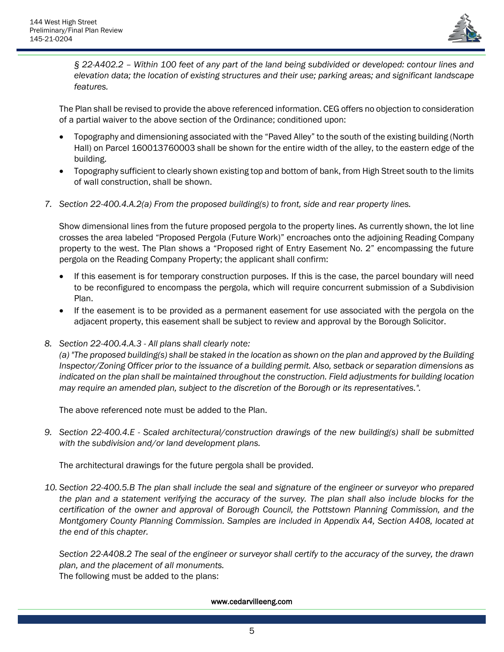

*§ 22-A402.2 – Within 100 feet of any part of the land being subdivided or developed: contour lines and elevation data; the location of existing structures and their use; parking areas; and significant landscape features.*

The Plan shall be revised to provide the above referenced information. CEG offers no objection to consideration of a partial waiver to the above section of the Ordinance; conditioned upon:

- Topography and dimensioning associated with the "Paved Alley" to the south of the existing building (North Hall) on Parcel 160013760003 shall be shown for the entire width of the alley, to the eastern edge of the building.
- Topography sufficient to clearly shown existing top and bottom of bank, from High Street south to the limits of wall construction, shall be shown.
- *7. Section 22-400.4.A.2(a) From the proposed building(s) to front, side and rear property lines.*

Show dimensional lines from the future proposed pergola to the property lines. As currently shown, the lot line crosses the area labeled "Proposed Pergola (Future Work)" encroaches onto the adjoining Reading Company property to the west. The Plan shows a "Proposed right of Entry Easement No. 2" encompassing the future pergola on the Reading Company Property; the applicant shall confirm:

- If this easement is for temporary construction purposes. If this is the case, the parcel boundary will need to be reconfigured to encompass the pergola, which will require concurrent submission of a Subdivision Plan.
- If the easement is to be provided as a permanent easement for use associated with the pergola on the adjacent property, this easement shall be subject to review and approval by the Borough Solicitor.
- *8. Section 22-400.4.A.3 - All plans shall clearly note:*

*(a) "The proposed building(s) shall be staked in the location as shown on the plan and approved by the Building Inspector/Zoning Officer prior to the issuance of a building permit. Also, setback or separation dimensions as indicated on the plan shall be maintained throughout the construction. Field adjustments for building location may require an amended plan, subject to the discretion of the Borough or its representatives.".*

The above referenced note must be added to the Plan.

*9. Section 22-400.4.E - Scaled architectural/construction drawings of the new building(s) shall be submitted with the subdivision and/or land development plans.*

The architectural drawings for the future pergola shall be provided.

*10. Section 22-400.5.B The plan shall include the seal and signature of the engineer or surveyor who prepared the plan and a statement verifying the accuracy of the survey. The plan shall also include blocks for the certification of the owner and approval of Borough Council, the Pottstown Planning Commission, and the Montgomery County Planning Commission. Samples are included in Appendix A4, Section A408, located at the end of this chapter.*

*Section 22-A408.2 The seal of the engineer or surveyor shall certify to the accuracy of the survey, the drawn plan, and the placement of all monuments.* The following must be added to the plans: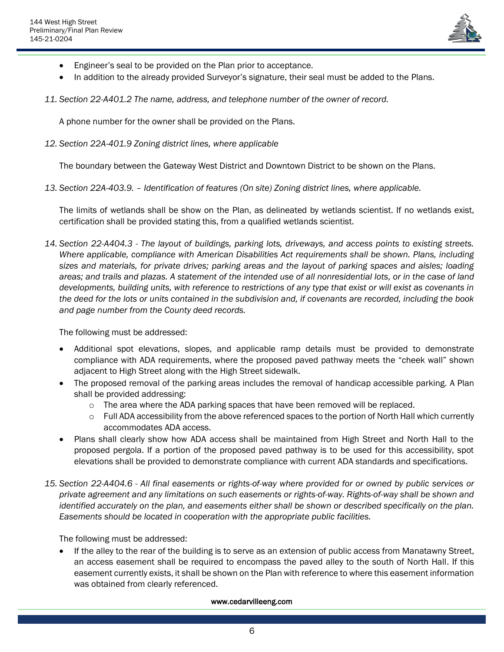

- Engineer's seal to be provided on the Plan prior to acceptance.
- In addition to the already provided Surveyor's signature, their seal must be added to the Plans.
- *11. Section 22-A401.2 The name, address, and telephone number of the owner of record.*

A phone number for the owner shall be provided on the Plans.

*12. Section 22A-401.9 Zoning district lines, where applicable*

The boundary between the Gateway West District and Downtown District to be shown on the Plans.

*13. Section 22A-403.9. – Identification of features (On site) Zoning district lines, where applicable.*

The limits of wetlands shall be show on the Plan, as delineated by wetlands scientist. If no wetlands exist, certification shall be provided stating this, from a qualified wetlands scientist.

*14. Section 22-A404.3 - The layout of buildings, parking lots, driveways, and access points to existing streets. Where applicable, compliance with American Disabilities Act requirements shall be shown. Plans, including sizes and materials, for private drives; parking areas and the layout of parking spaces and aisles; loading areas; and trails and plazas. A statement of the intended use of all nonresidential lots, or in the case of land developments, building units, with reference to restrictions of any type that exist or will exist as covenants in the deed for the lots or units contained in the subdivision and, if covenants are recorded, including the book and page number from the County deed records.*

The following must be addressed:

- Additional spot elevations, slopes, and applicable ramp details must be provided to demonstrate compliance with ADA requirements, where the proposed paved pathway meets the "cheek wall" shown adjacent to High Street along with the High Street sidewalk.
- The proposed removal of the parking areas includes the removal of handicap accessible parking. A Plan shall be provided addressing:
	- $\circ$  The area where the ADA parking spaces that have been removed will be replaced.
	- $\circ$  Full ADA accessibility from the above referenced spaces to the portion of North Hall which currently accommodates ADA access.
- Plans shall clearly show how ADA access shall be maintained from High Street and North Hall to the proposed pergola. If a portion of the proposed paved pathway is to be used for this accessibility, spot elevations shall be provided to demonstrate compliance with current ADA standards and specifications.
- *15. Section 22-A404.6 - All final easements or rights-of-way where provided for or owned by public services or private agreement and any limitations on such easements or rights-of-way. Rights-of-way shall be shown and identified accurately on the plan, and easements either shall be shown or described specifically on the plan. Easements should be located in cooperation with the appropriate public facilities.*

The following must be addressed:

• If the alley to the rear of the building is to serve as an extension of public access from Manatawny Street, an access easement shall be required to encompass the paved alley to the south of North Hall. If this easement currently exists, it shall be shown on the Plan with reference to where this easement information was obtained from clearly referenced.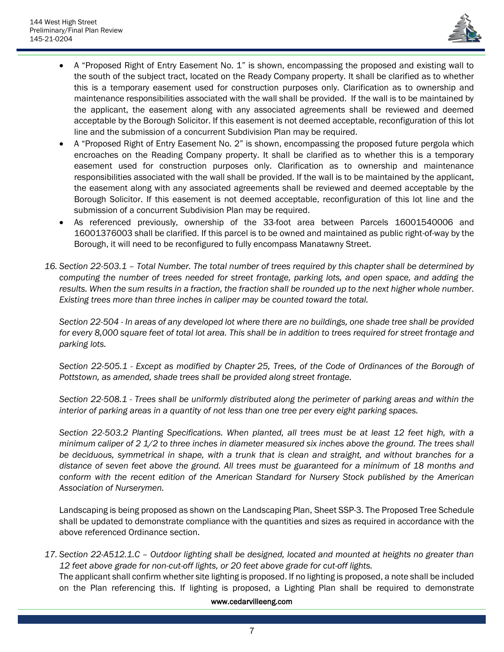

- A "Proposed Right of Entry Easement No. 1" is shown, encompassing the proposed and existing wall to the south of the subject tract, located on the Ready Company property. It shall be clarified as to whether this is a temporary easement used for construction purposes only. Clarification as to ownership and maintenance responsibilities associated with the wall shall be provided. If the wall is to be maintained by the applicant, the easement along with any associated agreements shall be reviewed and deemed acceptable by the Borough Solicitor. If this easement is not deemed acceptable, reconfiguration of this lot line and the submission of a concurrent Subdivision Plan may be required.
- A "Proposed Right of Entry Easement No. 2" is shown, encompassing the proposed future pergola which encroaches on the Reading Company property. It shall be clarified as to whether this is a temporary easement used for construction purposes only. Clarification as to ownership and maintenance responsibilities associated with the wall shall be provided. If the wall is to be maintained by the applicant, the easement along with any associated agreements shall be reviewed and deemed acceptable by the Borough Solicitor. If this easement is not deemed acceptable, reconfiguration of this lot line and the submission of a concurrent Subdivision Plan may be required.
- As referenced previously, ownership of the 33-foot area between Parcels 16001540006 and 16001376003 shall be clarified. If this parcel is to be owned and maintained as public right-of-way by the Borough, it will need to be reconfigured to fully encompass Manatawny Street.
- *16. Section 22-503.1 – Total Number. The total number of trees required by this chapter shall be determined by computing the number of trees needed for street frontage, parking lots, and open space, and adding the results. When the sum results in a fraction, the fraction shall be rounded up to the next higher whole number. Existing trees more than three inches in caliper may be counted toward the total.*

*Section 22-504 - In areas of any developed lot where there are no buildings, one shade tree shall be provided for every 8,000 square feet of total lot area. This shall be in addition to trees required for street frontage and parking lots.*

*Section 22-505.1 - Except as modified by Chapter [25,](https://ecode360.com/14223187#14223187) Trees, of the Code of Ordinances of the Borough of Pottstown, as amended, shade trees shall be provided along street frontage.*

*Section 22-508.1 - Trees shall be uniformly distributed along the perimeter of parking areas and within the interior of parking areas in a quantity of not less than one tree per every eight parking spaces.*

*Section 22-503.2 Planting Specifications. When planted, all trees must be at least 12 feet high, with a minimum caliper of 2 1/2 to three inches in diameter measured six inches above the ground. The trees shall be deciduous, symmetrical in shape, with a trunk that is clean and straight, and without branches for a distance of seven feet above the ground. All trees must be guaranteed for a minimum of 18 months and conform with the recent edition of the American Standard for Nursery Stock published by the American Association of Nurserymen.*

Landscaping is being proposed as shown on the Landscaping Plan, Sheet SSP-3. The Proposed Tree Schedule shall be updated to demonstrate compliance with the quantities and sizes as required in accordance with the above referenced Ordinance section.

*17. Section 22-A512.1.C – Outdoor lighting shall be designed, located and mounted at heights no greater than 12 feet above grade for non-cut-off lights, or 20 feet above grade for cut-off lights.*

The applicant shall confirm whether site lighting is proposed. If no lighting is proposed, a note shall be included on the Plan referencing this. If lighting is proposed, a Lighting Plan shall be required to demonstrate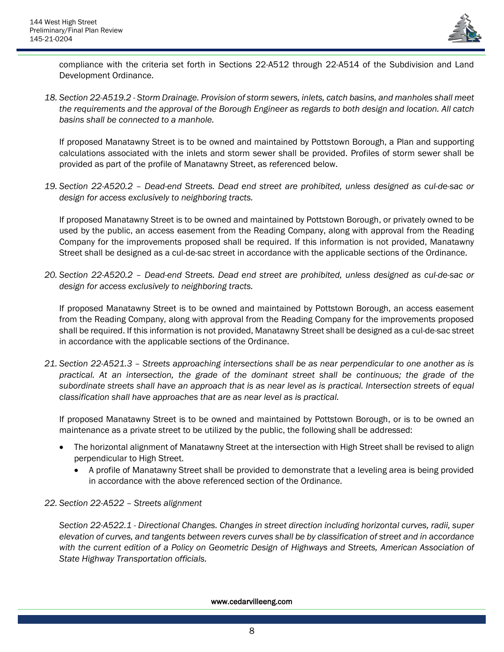

compliance with the criteria set forth in Sections 22-A512 through 22-A514 of the Subdivision and Land Development Ordinance.

*18. Section 22-A519.2 - Storm Drainage. Provision of storm sewers, inlets, catch basins, and manholes shall meet the requirements and the approval of the Borough Engineer as regards to both design and location. All catch basins shall be connected to a manhole.*

If proposed Manatawny Street is to be owned and maintained by Pottstown Borough, a Plan and supporting calculations associated with the inlets and storm sewer shall be provided. Profiles of storm sewer shall be provided as part of the profile of Manatawny Street, as referenced below.

*19. Section 22-A520.2 – Dead-end Streets. Dead end street are prohibited, unless designed as cul-de-sac or design for access exclusively to neighboring tracts.*

If proposed Manatawny Street is to be owned and maintained by Pottstown Borough, or privately owned to be used by the public, an access easement from the Reading Company, along with approval from the Reading Company for the improvements proposed shall be required. If this information is not provided, Manatawny Street shall be designed as a cul-de-sac street in accordance with the applicable sections of the Ordinance.

*20. Section 22-A520.2 – Dead-end Streets. Dead end street are prohibited, unless designed as cul-de-sac or design for access exclusively to neighboring tracts.*

If proposed Manatawny Street is to be owned and maintained by Pottstown Borough, an access easement from the Reading Company, along with approval from the Reading Company for the improvements proposed shall be required. If this information is not provided, Manatawny Street shall be designed as a cul-de-sac street in accordance with the applicable sections of the Ordinance.

*21. Section 22-A521.3 – Streets approaching intersections shall be as near perpendicular to one another as is practical. At an intersection, the grade of the dominant street shall be continuous; the grade of the subordinate streets shall have an approach that is as near level as is practical. Intersection streets of equal classification shall have approaches that are as near level as is practical.* 

If proposed Manatawny Street is to be owned and maintained by Pottstown Borough, or is to be owned an maintenance as a private street to be utilized by the public, the following shall be addressed:

- The horizontal alignment of Manatawny Street at the intersection with High Street shall be revised to align perpendicular to High Street.
	- A profile of Manatawny Street shall be provided to demonstrate that a leveling area is being provided in accordance with the above referenced section of the Ordinance.
- *22. Section 22-A522 – Streets alignment*

*Section 22-A522.1 - Directional Changes. Changes in street direction including horizontal curves, radii, super elevation of curves, and tangents between revers curves shall be by classification of street and in accordance with the current edition of a Policy on Geometric Design of Highways and Streets, American Association of State Highway Transportation officials.*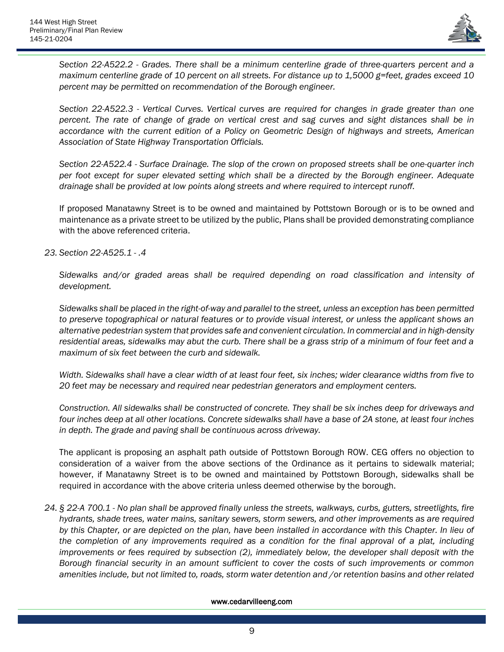

*Section 22-A522.2 - Grades. There shall be a minimum centerline grade of three-quarters percent and a maximum centerline grade of 10 percent on all streets. For distance up to 1,5000 g=feet, grades exceed 10 percent may be permitted on recommendation of the Borough engineer.*

*Section 22-A522.3 - Vertical Curves. Vertical curves are required for changes in grade greater than one percent. The rate of change of grade on vertical crest and sag curves and sight distances shall be in accordance with the current edition of a Policy on Geometric Design of highways and streets, American Association of State Highway Transportation Officials.*

*Section 22-A522.4 - Surface Drainage. The slop of the crown on proposed streets shall be one-quarter inch per foot except for super elevated setting which shall be a directed by the Borough engineer. Adequate drainage shall be provided at low points along streets and where required to intercept runoff.*

If proposed Manatawny Street is to be owned and maintained by Pottstown Borough or is to be owned and maintenance as a private street to be utilized by the public, Plans shall be provided demonstrating compliance with the above referenced criteria.

## *23. Section 22-A525.1 - .4*

*Sidewalks and/or graded areas shall be required depending on road classification and intensity of development.*

*Sidewalks shall be placed in the right-of-way and parallel to the street, unless an exception has been permitted to preserve topographical or natural features or to provide visual interest, or unless the applicant shows an alternative pedestrian system that provides safe and convenient circulation. In commercial and in high-density residential areas, sidewalks may abut the curb. There shall be a grass strip of a minimum of four feet and a maximum of six feet between the curb and sidewalk.* 

*Width. Sidewalks shall have a clear width of at least four feet, six inches; wider clearance widths from five to 20 feet may be necessary and required near pedestrian generators and employment centers.*

*Construction. All sidewalks shall be constructed of concrete. They shall be six inches deep for driveways and four inches deep at all other locations. Concrete sidewalks shall have a base of 2A stone, at least four inches in depth. The grade and paving shall be continuous across driveway.*

The applicant is proposing an asphalt path outside of Pottstown Borough ROW. CEG offers no objection to consideration of a waiver from the above sections of the Ordinance as it pertains to sidewalk material; however, if Manatawny Street is to be owned and maintained by Pottstown Borough, sidewalks shall be required in accordance with the above criteria unless deemed otherwise by the borough.

*24. § 22-A 700.1 - No plan shall be approved finally unless the streets, walkways, curbs, gutters, streetlights, fire hydrants, shade trees, water mains, sanitary sewers, storm sewers, and other improvements as are required*  by this Chapter, or are depicted on the plan, have been installed in accordance with this Chapter. In lieu of *the completion of any improvements required as a condition for the final approval of a plat, including improvements or fees required by subsection (2), immediately below, the developer shall deposit with the Borough financial security in an amount sufficient to cover the costs of such improvements or common amenities include, but not limited to, roads, storm water detention and /or retention basins and other related*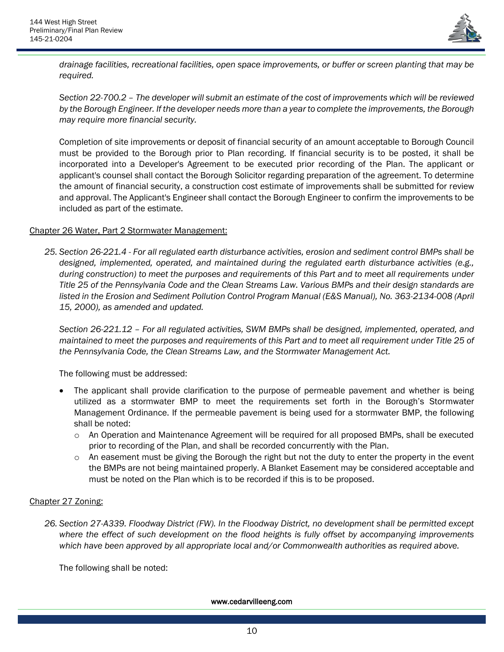

*drainage facilities, recreational facilities, open space improvements, or buffer or screen planting that may be required.*

*Section 22-700.2 – The developer will submit an estimate of the cost of improvements which will be reviewed by the Borough Engineer. If the developer needs more than a year to complete the improvements, the Borough may require more financial security.*

Completion of site improvements or deposit of financial security of an amount acceptable to Borough Council must be provided to the Borough prior to Plan recording. If financial security is to be posted, it shall be incorporated into a Developer's Agreement to be executed prior recording of the Plan. The applicant or applicant's counsel shall contact the Borough Solicitor regarding preparation of the agreement. To determine the amount of financial security, a construction cost estimate of improvements shall be submitted for review and approval. The Applicant's Engineer shall contact the Borough Engineer to confirm the improvements to be included as part of the estimate.

## Chapter 26 Water, Part 2 Stormwater Management:

*25. Section 26-221.4 - For all regulated earth disturbance activities, erosion and sediment control BMPs shall be designed, implemented, operated, and maintained during the regulated earth disturbance activities (e.g., during construction) to meet the purposes and requirements of this Part and to meet all requirements under Title 25 of the Pennsylvania Code and the Clean Streams Law. Various BMPs and their design standards are listed in the Erosion and Sediment Pollution Control Program Manual (E&S Manual), No. 363-2134-008 (April 15, 2000), as amended and updated.*

*Section 26-221.12 – For all regulated activities, SWM BMPs shall be designed, implemented, operated, and maintained to meet the purposes and requirements of this Part and to meet all requirement under Title 25 of the Pennsylvania Code, the Clean Streams Law, and the Stormwater Management Act.*

The following must be addressed:

- The applicant shall provide clarification to the purpose of permeable pavement and whether is being utilized as a stormwater BMP to meet the requirements set forth in the Borough's Stormwater Management Ordinance. If the permeable pavement is being used for a stormwater BMP, the following shall be noted:
	- o An Operation and Maintenance Agreement will be required for all proposed BMPs, shall be executed prior to recording of the Plan, and shall be recorded concurrently with the Plan.
	- $\circ$  An easement must be giving the Borough the right but not the duty to enter the property in the event the BMPs are not being maintained properly. A Blanket Easement may be considered acceptable and must be noted on the Plan which is to be recorded if this is to be proposed.

# Chapter 27 Zoning:

*26. Section 27-A339. Floodway District (FW). In the Floodway District, no development shall be permitted except where the effect of such development on the flood heights is fully offset by accompanying improvements which have been approved by all appropriate local and/or Commonwealth authorities as required above.*

The following shall be noted: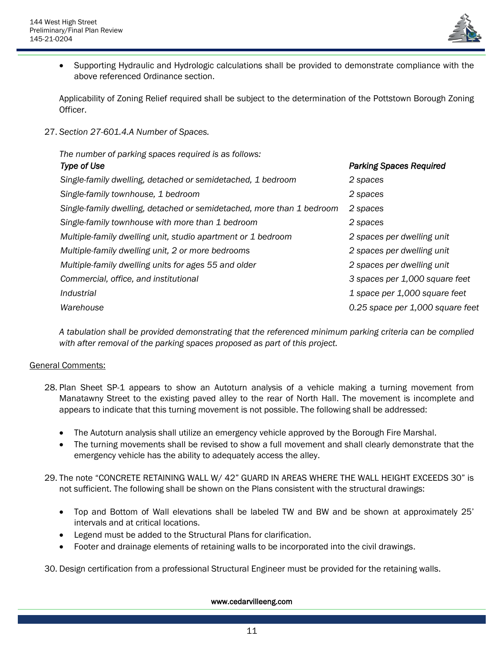

• Supporting Hydraulic and Hydrologic calculations shall be provided to demonstrate compliance with the above referenced Ordinance section.

Applicability of Zoning Relief required shall be subject to the determination of the Pottstown Borough Zoning Officer.

27. *Section 27-601.4.A Number of Spaces.*

| The number of parking spaces required is as follows:                  |                                  |
|-----------------------------------------------------------------------|----------------------------------|
| Type of Use                                                           | <b>Parking Spaces Required</b>   |
| Single-family dwelling, detached or semidetached, 1 bedroom           | 2 spaces                         |
| Single-family townhouse, 1 bedroom                                    | 2 spaces                         |
| Single-family dwelling, detached or semidetached, more than 1 bedroom | 2 spaces                         |
| Single-family townhouse with more than 1 bedroom                      | 2 spaces                         |
| Multiple-family dwelling unit, studio apartment or 1 bedroom          | 2 spaces per dwelling unit       |
| Multiple-family dwelling unit, 2 or more bedrooms                     | 2 spaces per dwelling unit       |
| Multiple-family dwelling units for ages 55 and older                  | 2 spaces per dwelling unit       |
| Commercial, office, and institutional                                 | 3 spaces per 1,000 square feet   |
| <i>Industrial</i>                                                     | 1 space per 1,000 square feet    |
| Warehouse                                                             | 0.25 space per 1,000 square feet |

*A tabulation shall be provided demonstrating that the referenced minimum parking criteria can be complied with after removal of the parking spaces proposed as part of this project.*

# General Comments:

- 28. Plan Sheet SP-1 appears to show an Autoturn analysis of a vehicle making a turning movement from Manatawny Street to the existing paved alley to the rear of North Hall. The movement is incomplete and appears to indicate that this turning movement is not possible. The following shall be addressed:
	- The Autoturn analysis shall utilize an emergency vehicle approved by the Borough Fire Marshal.
	- The turning movements shall be revised to show a full movement and shall clearly demonstrate that the emergency vehicle has the ability to adequately access the alley.
- 29. The note "CONCRETE RETAINING WALL W/ 42" GUARD IN AREAS WHERE THE WALL HEIGHT EXCEEDS 30" is not sufficient. The following shall be shown on the Plans consistent with the structural drawings:
	- Top and Bottom of Wall elevations shall be labeled TW and BW and be shown at approximately 25' intervals and at critical locations.
	- Legend must be added to the Structural Plans for clarification.
	- Footer and drainage elements of retaining walls to be incorporated into the civil drawings.

30. Design certification from a professional Structural Engineer must be provided for the retaining walls.